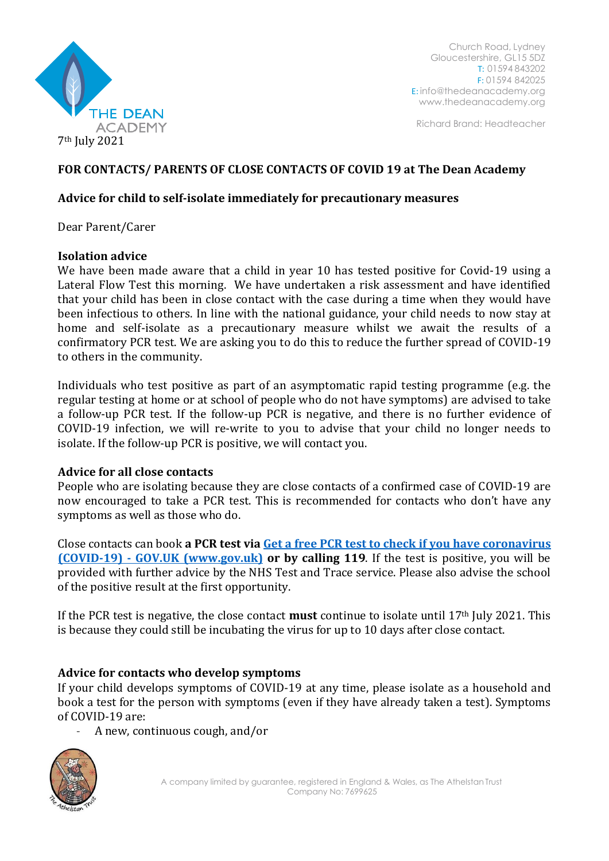

Church Road, Lydney Gloucestershire, GL15 5DZ T: 01594 843202 F: 01594 842025 E: [info@thedeanacademy.org](mailto:info@thedeanacademy.org) [www.thedeanacademy.org](http://www.thedeanacademy.org/)

Richard Brand: Headteacher

## **FOR CONTACTS/ PARENTS OF CLOSE CONTACTS OF COVID 19 at The Dean Academy**

### **Advice for child to self-isolate immediately for precautionary measures**

Dear Parent/Carer

### **Isolation advice**

We have been made aware that a child in year 10 has tested positive for Covid-19 using a Lateral Flow Test this morning. We have undertaken a risk assessment and have identified that your child has been in close contact with the case during a time when they would have been infectious to others. In line with the national guidance, your child needs to now stay at home and self-isolate as a precautionary measure whilst we await the results of a confirmatory PCR test. We are asking you to do this to reduce the further spread of COVID-19 to others in the community.

Individuals who test positive as part of an asymptomatic rapid testing programme (e.g. the regular testing at home or at school of people who do not have symptoms) are advised to take a follow-up PCR test. If the follow-up PCR is negative, and there is no further evidence of COVID-19 infection, we will re-write to you to advise that your child no longer needs to isolate. If the follow-up PCR is positive, we will contact you.

### **Advice for all close contacts**

People who are isolating because they are close contacts of a confirmed case of COVID-19 are now encouraged to take a PCR test. This is recommended for contacts who don't have any symptoms as well as those who do.

Close contacts can book **a PCR test via [Get a free PCR test to check](https://www.gov.uk/get-coronavirus-test) if you have coronavirus (COVID-19) - [GOV.UK \(www.gov.uk\)](https://www.gov.uk/get-coronavirus-test) or by calling 119**. If the test is positive, you will be provided with further advice by the NHS Test and Trace service. Please also advise the school of the positive result at the first opportunity.

If the PCR test is negative, the close contact **must** continue to isolate until 17th July 2021. This is because they could still be incubating the virus for up to 10 days after close contact.

# **Advice for contacts who develop symptoms**

If your child develops symptoms of COVID-19 at any time, please isolate as a household and book a test for the person with symptoms (even if they have already taken a test). Symptoms of COVID-19 are:

- A new, continuous cough, and/or